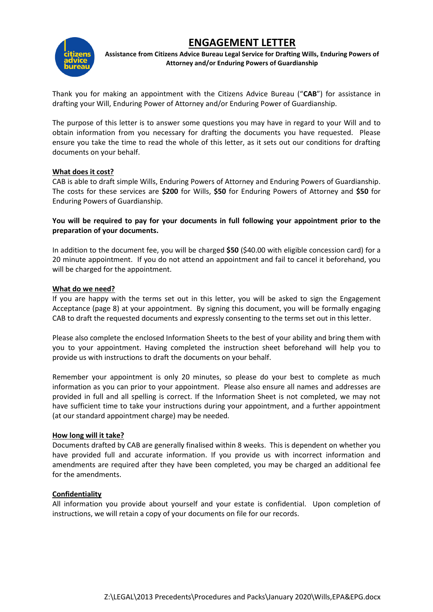## **ENGAGEMENT LETTER**



**Assistance from Citizens Advice Bureau Legal Service for Drafting Wills, Enduring Powers of Attorney and/or Enduring Powers of Guardianship**

Thank you for making an appointment with the Citizens Advice Bureau ("**CAB**") for assistance in drafting your Will, Enduring Power of Attorney and/or Enduring Power of Guardianship.

The purpose of this letter is to answer some questions you may have in regard to your Will and to obtain information from you necessary for drafting the documents you have requested. Please ensure you take the time to read the whole of this letter, as it sets out our conditions for drafting documents on your behalf.

#### **What does it cost?**

CAB is able to draft simple Wills, Enduring Powers of Attorney and Enduring Powers of Guardianship. The costs for these services are **\$200** for Wills, **\$50** for Enduring Powers of Attorney and **\$50** for Enduring Powers of Guardianship.

#### **You will be required to pay for your documents in full following your appointment prior to the preparation of your documents.**

In addition to the document fee, you will be charged **\$50** (\$40.00 with eligible concession card) for a 20 minute appointment. If you do not attend an appointment and fail to cancel it beforehand, you will be charged for the appointment.

#### **What do we need?**

If you are happy with the terms set out in this letter, you will be asked to sign the Engagement Acceptance (page 8) at your appointment. By signing this document, you will be formally engaging CAB to draft the requested documents and expressly consenting to the terms set out in this letter.

Please also complete the enclosed Information Sheets to the best of your ability and bring them with you to your appointment. Having completed the instruction sheet beforehand will help you to provide us with instructions to draft the documents on your behalf.

Remember your appointment is only 20 minutes, so please do your best to complete as much information as you can prior to your appointment. Please also ensure all names and addresses are provided in full and all spelling is correct. If the Information Sheet is not completed, we may not have sufficient time to take your instructions during your appointment, and a further appointment (at our standard appointment charge) may be needed.

#### **How long will it take?**

Documents drafted by CAB are generally finalised within 8 weeks. This is dependent on whether you have provided full and accurate information. If you provide us with incorrect information and amendments are required after they have been completed, you may be charged an additional fee for the amendments.

#### **Confidentiality**

All information you provide about yourself and your estate is confidential. Upon completion of instructions, we will retain a copy of your documents on file for our records.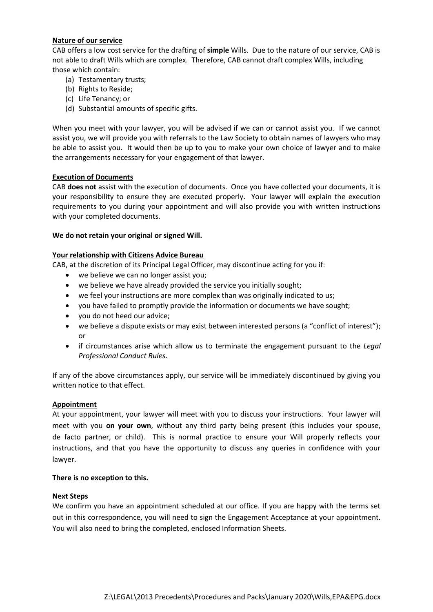#### **Nature of our service**

CAB offers a low cost service for the drafting of **simple** Wills. Due to the nature of our service, CAB is not able to draft Wills which are complex. Therefore, CAB cannot draft complex Wills, including those which contain:

- (a) Testamentary trusts;
- (b) Rights to Reside;
- (c) Life Tenancy; or
- (d) Substantial amounts of specific gifts.

When you meet with your lawyer, you will be advised if we can or cannot assist you. If we cannot assist you, we will provide you with referrals to the Law Society to obtain names of lawyers who may be able to assist you. It would then be up to you to make your own choice of lawyer and to make the arrangements necessary for your engagement of that lawyer.

#### **Execution of Documents**

CAB **does not** assist with the execution of documents. Once you have collected your documents, it is your responsibility to ensure they are executed properly. Your lawyer will explain the execution requirements to you during your appointment and will also provide you with written instructions with your completed documents.

#### **We do not retain your original or signed Will.**

#### **Your relationship with Citizens Advice Bureau**

CAB, at the discretion of its Principal Legal Officer, may discontinue acting for you if:

- we believe we can no longer assist you;
- we believe we have already provided the service you initially sought;
- we feel your instructions are more complex than was originally indicated to us;
- you have failed to promptly provide the information or documents we have sought;
- vou do not heed our advice:
- we believe a dispute exists or may exist between interested persons (a "conflict of interest"); or
- if circumstances arise which allow us to terminate the engagement pursuant to the *Legal Professional Conduct Rules*.

If any of the above circumstances apply, our service will be immediately discontinued by giving you written notice to that effect.

#### **Appointment**

At your appointment, your lawyer will meet with you to discuss your instructions. Your lawyer will meet with you **on your own**, without any third party being present (this includes your spouse, de facto partner, or child). This is normal practice to ensure your Will properly reflects your instructions, and that you have the opportunity to discuss any queries in confidence with your lawyer.

#### **There is no exception to this.**

#### **Next Steps**

We confirm you have an appointment scheduled at our office. If you are happy with the terms set out in this correspondence, you will need to sign the Engagement Acceptance at your appointment. You will also need to bring the completed, enclosed Information Sheets.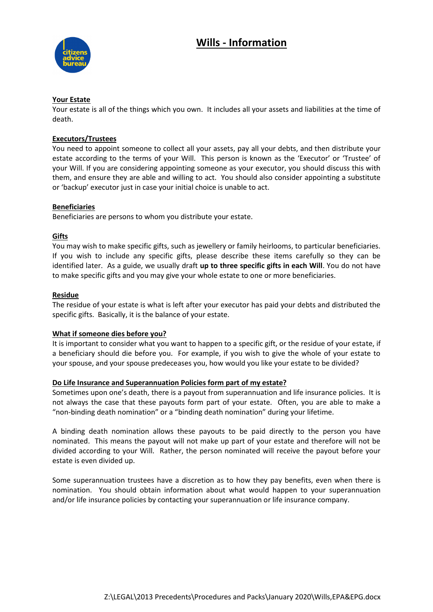# **Wills - Information**



#### **Your Estate**

Your estate is all of the things which you own. It includes all your assets and liabilities at the time of death.

#### **Executors/Trustees**

You need to appoint someone to collect all your assets, pay all your debts, and then distribute your estate according to the terms of your Will. This person is known as the 'Executor' or 'Trustee' of your Will. If you are considering appointing someone as your executor, you should discuss this with them, and ensure they are able and willing to act. You should also consider appointing a substitute or 'backup' executor just in case your initial choice is unable to act.

#### **Beneficiaries**

Beneficiaries are persons to whom you distribute your estate.

#### **Gifts**

You may wish to make specific gifts, such as jewellery or family heirlooms, to particular beneficiaries. If you wish to include any specific gifts, please describe these items carefully so they can be identified later. As a guide, we usually draft **up to three specific gifts in each Will**. You do not have to make specific gifts and you may give your whole estate to one or more beneficiaries.

#### **Residue**

The residue of your estate is what is left after your executor has paid your debts and distributed the specific gifts. Basically, it is the balance of your estate.

#### **What if someone dies before you?**

It is important to consider what you want to happen to a specific gift, or the residue of your estate, if a beneficiary should die before you. For example, if you wish to give the whole of your estate to your spouse, and your spouse predeceases you, how would you like your estate to be divided?

#### **Do Life Insurance and Superannuation Policies form part of my estate?**

Sometimes upon one's death, there is a payout from superannuation and life insurance policies. It is not always the case that these payouts form part of your estate. Often, you are able to make a "non-binding death nomination" or a "binding death nomination" during your lifetime.

A binding death nomination allows these payouts to be paid directly to the person you have nominated. This means the payout will not make up part of your estate and therefore will not be divided according to your Will. Rather, the person nominated will receive the payout before your estate is even divided up.

Some superannuation trustees have a discretion as to how they pay benefits, even when there is nomination. You should obtain information about what would happen to your superannuation and/or life insurance policies by contacting your superannuation or life insurance company.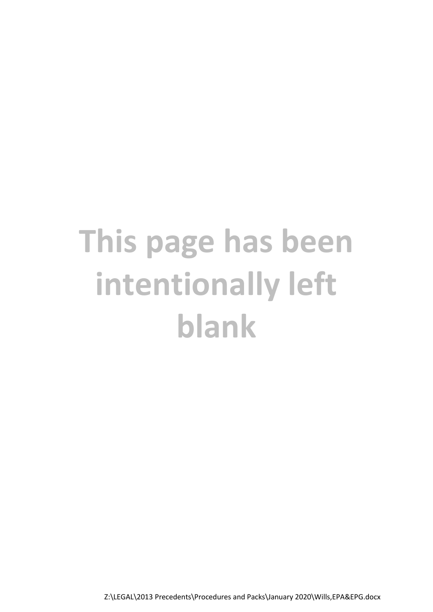# **This page has been intentionally left blank**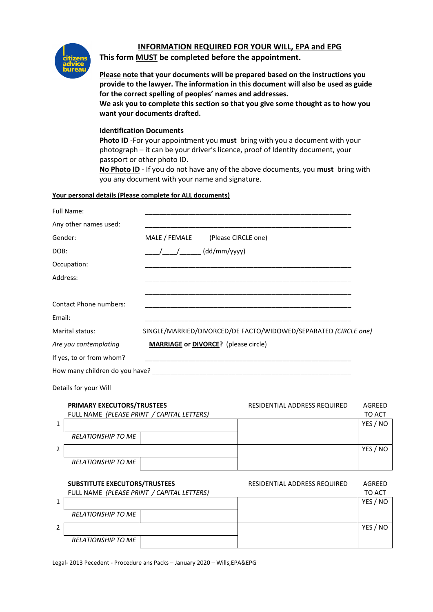#### **INFORMATION REQUIRED FOR YOUR WILL, EPA and EPG**



**This form MUST be completed before the appointment.**

**Please note that your documents will be prepared based on the instructions you provide to the lawyer. The information in this document will also be used as guide for the correct spelling of peoples' names and addresses.**

**We ask you to complete this section so that you give some thought as to how you want your documents drafted.**

#### **Identification Documents**

**Photo ID** -For your appointment you **must** bring with you a document with your photograph – it can be your driver's licence, proof of Identity document, your passport or other photo ID.

**No Photo ID** - If you do not have any of the above documents, you **must** bring with you any document with your name and signature.

#### **Your personal details (Please complete for ALL documents)**

| <b>Full Name:</b>                                                        |                                             |                                                                 |                         |
|--------------------------------------------------------------------------|---------------------------------------------|-----------------------------------------------------------------|-------------------------|
| Any other names used:                                                    |                                             |                                                                 |                         |
| (Please CIRCLE one)<br>Gender:<br>MALE / FEMALE                          |                                             |                                                                 |                         |
| DOB:                                                                     |                                             |                                                                 |                         |
| Occupation:                                                              |                                             |                                                                 |                         |
| Address:                                                                 |                                             |                                                                 |                         |
| <b>Contact Phone numbers:</b>                                            |                                             |                                                                 |                         |
| Email:                                                                   |                                             |                                                                 |                         |
| Marital status:                                                          |                                             | SINGLE/MARRIED/DIVORCED/DE FACTO/WIDOWED/SEPARATED (CIRCLE one) |                         |
| Are you contemplating                                                    | <b>MARRIAGE or DIVORCE?</b> (please circle) |                                                                 |                         |
| If yes, to or from whom?                                                 |                                             |                                                                 |                         |
|                                                                          |                                             |                                                                 |                         |
| Details for your Will                                                    |                                             |                                                                 |                         |
|                                                                          |                                             |                                                                 |                         |
| PRIMARY EXECUTORS/TRUSTEES<br>FULL NAME (PLEASE PRINT / CAPITAL LETTERS) |                                             | RESIDENTIAL ADDRESS REQUIRED                                    | <b>AGREED</b><br>TO ACT |
| 1                                                                        |                                             |                                                                 | YES / NO                |
| <b>RELATIONSHIP TO ME</b>                                                |                                             |                                                                 |                         |
| $\overline{2}$                                                           |                                             |                                                                 | YES / NO                |
| <b>RELATIONSHIP TO ME</b>                                                |                                             |                                                                 |                         |
| <b>SUBSTITUTE EXECUTORS/TRUSTEES</b>                                     | FULL NAME (PLEASE PRINT / CAPITAL LETTERS)  | RESIDENTIAL ADDRESS REQUIRED                                    | <b>AGREED</b><br>TO ACT |
| $\mathbf{1}$                                                             |                                             |                                                                 | YES / NO                |
| <b>RELATIONSHIP TO ME</b>                                                |                                             |                                                                 |                         |
| $\overline{2}$                                                           |                                             |                                                                 | YES / NO                |
| <b>RELATIONSHIP TO ME</b>                                                |                                             |                                                                 |                         |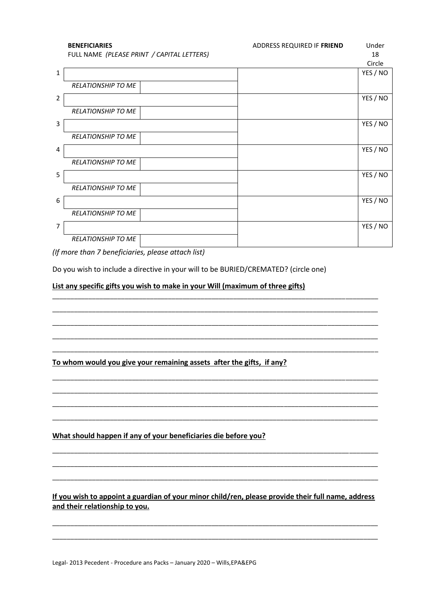**BENEFICIARIES**

18

FULL NAME *(PLEASE PRINT / CAPITAL LETTERS)*

|                |                           | Circle   |
|----------------|---------------------------|----------|
| $\mathbf{1}$   |                           | YES / NO |
|                | <b>RELATIONSHIP TO ME</b> |          |
| $\overline{2}$ |                           | YES / NO |
|                | <b>RELATIONSHIP TO ME</b> |          |
| 3              |                           | YES / NO |
|                | <b>RELATIONSHIP TO ME</b> |          |
| 4              |                           | YES / NO |
|                | <b>RELATIONSHIP TO ME</b> |          |
| 5              |                           | YES / NO |
|                | <b>RELATIONSHIP TO ME</b> |          |
| 6              |                           | YES / NO |
|                | <b>RELATIONSHIP TO ME</b> |          |
| 7              |                           | YES / NO |
|                | <b>RELATIONSHIP TO ME</b> |          |

*(If more than 7 beneficiaries, please attach list)*

Do you wish to include a directive in your will to be BURIED/CREMATED? (circle one)

\_\_\_\_\_\_\_\_\_\_\_\_\_\_\_\_\_\_\_\_\_\_\_\_\_\_\_\_\_\_\_\_\_\_\_\_\_\_\_\_\_\_\_\_\_\_\_\_\_\_\_\_\_\_\_\_\_\_\_\_\_\_\_\_\_\_\_\_\_\_\_\_\_\_\_\_\_\_\_\_\_\_\_\_\_\_\_\_\_\_ \_\_\_\_\_\_\_\_\_\_\_\_\_\_\_\_\_\_\_\_\_\_\_\_\_\_\_\_\_\_\_\_\_\_\_\_\_\_\_\_\_\_\_\_\_\_\_\_\_\_\_\_\_\_\_\_\_\_\_\_\_\_\_\_\_\_\_\_\_\_\_\_\_\_\_\_\_\_\_\_\_\_\_\_\_\_\_\_\_\_ \_\_\_\_\_\_\_\_\_\_\_\_\_\_\_\_\_\_\_\_\_\_\_\_\_\_\_\_\_\_\_\_\_\_\_\_\_\_\_\_\_\_\_\_\_\_\_\_\_\_\_\_\_\_\_\_\_\_\_\_\_\_\_\_\_\_\_\_\_\_\_\_\_\_\_\_\_\_\_\_\_\_\_\_\_\_\_\_\_\_ \_\_\_\_\_\_\_\_\_\_\_\_\_\_\_\_\_\_\_\_\_\_\_\_\_\_\_\_\_\_\_\_\_\_\_\_\_\_\_\_\_\_\_\_\_\_\_\_\_\_\_\_\_\_\_\_\_\_\_\_\_\_\_\_\_\_\_\_\_\_\_\_\_\_\_\_\_\_\_\_\_\_\_\_\_\_\_\_\_\_ \_\_\_\_\_\_\_\_\_\_\_\_\_\_\_\_\_\_\_\_\_\_\_\_\_\_\_\_\_\_\_\_\_\_\_\_\_\_\_\_\_\_\_\_\_\_\_\_\_\_\_\_\_\_\_\_\_\_\_\_\_\_\_\_\_\_\_\_\_\_\_\_\_\_\_\_\_\_\_\_\_\_\_\_\_\_\_\_\_\_

\_\_\_\_\_\_\_\_\_\_\_\_\_\_\_\_\_\_\_\_\_\_\_\_\_\_\_\_\_\_\_\_\_\_\_\_\_\_\_\_\_\_\_\_\_\_\_\_\_\_\_\_\_\_\_\_\_\_\_\_\_\_\_\_\_\_\_\_\_\_\_\_\_\_\_\_\_\_\_\_\_\_\_\_\_\_\_\_\_\_ \_\_\_\_\_\_\_\_\_\_\_\_\_\_\_\_\_\_\_\_\_\_\_\_\_\_\_\_\_\_\_\_\_\_\_\_\_\_\_\_\_\_\_\_\_\_\_\_\_\_\_\_\_\_\_\_\_\_\_\_\_\_\_\_\_\_\_\_\_\_\_\_\_\_\_\_\_\_\_\_\_\_\_\_\_\_\_\_\_\_ \_\_\_\_\_\_\_\_\_\_\_\_\_\_\_\_\_\_\_\_\_\_\_\_\_\_\_\_\_\_\_\_\_\_\_\_\_\_\_\_\_\_\_\_\_\_\_\_\_\_\_\_\_\_\_\_\_\_\_\_\_\_\_\_\_\_\_\_\_\_\_\_\_\_\_\_\_\_\_\_\_\_\_\_\_\_\_\_\_\_ \_\_\_\_\_\_\_\_\_\_\_\_\_\_\_\_\_\_\_\_\_\_\_\_\_\_\_\_\_\_\_\_\_\_\_\_\_\_\_\_\_\_\_\_\_\_\_\_\_\_\_\_\_\_\_\_\_\_\_\_\_\_\_\_\_\_\_\_\_\_\_\_\_\_\_\_\_\_\_\_\_\_\_\_\_\_\_\_\_\_

**List any specific gifts you wish to make in your Will (maximum of three gifts)**

**To whom would you give your remaining assets after the gifts, if any?** 

**What should happen if any of your beneficiaries die before you?**

**If you wish to appoint a guardian of your minor child/ren, please provide their full name, address and their relationship to you.**

\_\_\_\_\_\_\_\_\_\_\_\_\_\_\_\_\_\_\_\_\_\_\_\_\_\_\_\_\_\_\_\_\_\_\_\_\_\_\_\_\_\_\_\_\_\_\_\_\_\_\_\_\_\_\_\_\_\_\_\_\_\_\_\_\_\_\_\_\_\_\_\_\_\_\_\_\_\_\_\_\_\_\_\_\_\_\_\_\_\_ \_\_\_\_\_\_\_\_\_\_\_\_\_\_\_\_\_\_\_\_\_\_\_\_\_\_\_\_\_\_\_\_\_\_\_\_\_\_\_\_\_\_\_\_\_\_\_\_\_\_\_\_\_\_\_\_\_\_\_\_\_\_\_\_\_\_\_\_\_\_\_\_\_\_\_\_\_\_\_\_\_\_\_\_\_\_\_\_\_\_

\_\_\_\_\_\_\_\_\_\_\_\_\_\_\_\_\_\_\_\_\_\_\_\_\_\_\_\_\_\_\_\_\_\_\_\_\_\_\_\_\_\_\_\_\_\_\_\_\_\_\_\_\_\_\_\_\_\_\_\_\_\_\_\_\_\_\_\_\_\_\_\_\_\_\_\_\_\_\_\_\_\_\_\_\_\_\_\_\_\_ \_\_\_\_\_\_\_\_\_\_\_\_\_\_\_\_\_\_\_\_\_\_\_\_\_\_\_\_\_\_\_\_\_\_\_\_\_\_\_\_\_\_\_\_\_\_\_\_\_\_\_\_\_\_\_\_\_\_\_\_\_\_\_\_\_\_\_\_\_\_\_\_\_\_\_\_\_\_\_\_\_\_\_\_\_\_\_\_\_\_ \_\_\_\_\_\_\_\_\_\_\_\_\_\_\_\_\_\_\_\_\_\_\_\_\_\_\_\_\_\_\_\_\_\_\_\_\_\_\_\_\_\_\_\_\_\_\_\_\_\_\_\_\_\_\_\_\_\_\_\_\_\_\_\_\_\_\_\_\_\_\_\_\_\_\_\_\_\_\_\_\_\_\_\_\_\_\_\_\_\_

Legal- 2013 Pecedent - Procedure ans Packs – January 2020 – Wills,EPA&EPG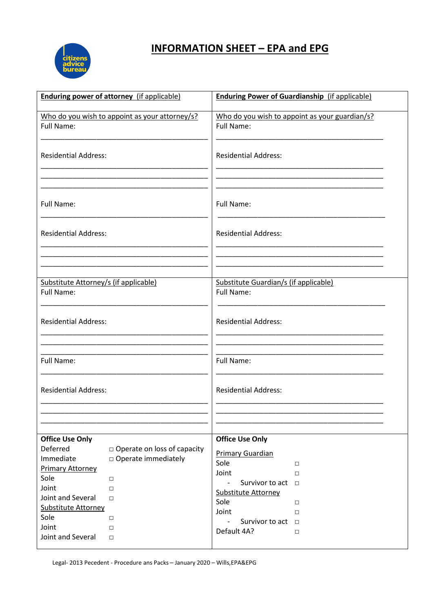

# **INFORMATION SHEET – EPA and EPG**

| <b>Enduring power of attorney</b> (if applicable)                                                                                                                                                                                                                                                          | <b>Enduring Power of Guardianship</b> (if applicable)                                                                                                                                                                                                     |
|------------------------------------------------------------------------------------------------------------------------------------------------------------------------------------------------------------------------------------------------------------------------------------------------------------|-----------------------------------------------------------------------------------------------------------------------------------------------------------------------------------------------------------------------------------------------------------|
| Who do you wish to appoint as your attorney/s?<br><b>Full Name:</b>                                                                                                                                                                                                                                        | Who do you wish to appoint as your guardian/s?<br><b>Full Name:</b>                                                                                                                                                                                       |
| <b>Residential Address:</b>                                                                                                                                                                                                                                                                                | <b>Residential Address:</b>                                                                                                                                                                                                                               |
| <b>Full Name:</b>                                                                                                                                                                                                                                                                                          | <b>Full Name:</b>                                                                                                                                                                                                                                         |
| <b>Residential Address:</b>                                                                                                                                                                                                                                                                                | <b>Residential Address:</b>                                                                                                                                                                                                                               |
| Substitute Attorney/s (if applicable)<br>Full Name:                                                                                                                                                                                                                                                        | Substitute Guardian/s (if applicable)<br><b>Full Name:</b>                                                                                                                                                                                                |
| <b>Residential Address:</b>                                                                                                                                                                                                                                                                                | <b>Residential Address:</b>                                                                                                                                                                                                                               |
| Full Name:                                                                                                                                                                                                                                                                                                 | Full Name:                                                                                                                                                                                                                                                |
| <b>Residential Address:</b>                                                                                                                                                                                                                                                                                | <b>Residential Address:</b>                                                                                                                                                                                                                               |
|                                                                                                                                                                                                                                                                                                            |                                                                                                                                                                                                                                                           |
| <b>Office Use Only</b><br>Deferred<br>□ Operate on loss of capacity<br>Immediate<br>□ Operate immediately<br><b>Primary Attorney</b><br>Sole<br>$\Box$<br>Joint<br>$\Box$<br>Joint and Several<br>$\Box$<br><b>Substitute Attorney</b><br>Sole<br>$\Box$<br>Joint<br>$\Box$<br>Joint and Several<br>$\Box$ | <b>Office Use Only</b><br><b>Primary Guardian</b><br>Sole<br>□<br>Joint<br>$\Box$<br>Survivor to act<br>$\overline{\phantom{m}}$<br>$\Box$<br><b>Substitute Attorney</b><br>Sole<br>□<br>Joint<br>$\Box$<br>Survivor to act<br>$\Box$<br>Default 4A?<br>□ |